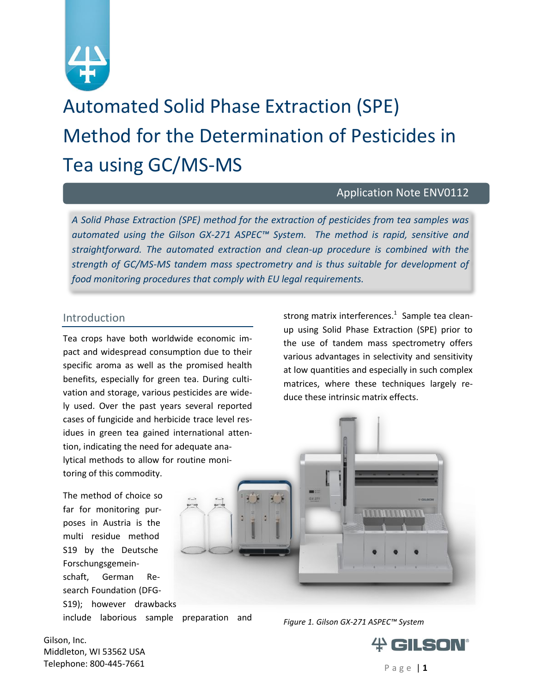

Automated Solid Phase Extraction (SPE) Method for the Determination of Pesticides in Tea using GC/MS-MS

## Application Note ENV0112

*A Solid Phase Extraction (SPE) method for the extraction of pesticides from tea samples was automated using the Gilson GX-271 ASPEC™ System. The method is rapid, sensitive and straightforward. The automated extraction and clean-up procedure is combined with the strength of GC/MS-MS tandem mass spectrometry and is thus suitable for development of food monitoring procedures that comply with EU legal requirements.* 

#### Introduction

Tea crops have both worldwide economic impact and widespread consumption due to their specific aroma as well as the promised health benefits, especially for green tea. During cultivation and storage, various pesticides are widely used. Over the past years several reported cases of fungicide and herbicide trace level residues in green tea gained international attention, indicating the need for adequate analytical methods to allow for routine monitoring of this commodity.

The method of choice so far for monitoring purposes in Austria is the multi residue method S19 by the Deutsche Forschungsgemeinschaft, German Research Foundation (DFG-S19); however drawbacks

include laborious sample preparation and

strong matrix interferences. 1 Sample tea cleanup using Solid Phase Extraction (SPE) prior to the use of tandem mass spectrometry offers various advantages in selectivity and sensitivity at low quantities and especially in such complex matrices, where these techniques largely reduce these intrinsic matrix effects.



*Figure 1. Gilson GX-271 ASPEC™ System*

Gilson, Inc. Middleton, WI 53562 USA **Telephone: 800-445-7661** P a g e  $|1$ 

# GILSON®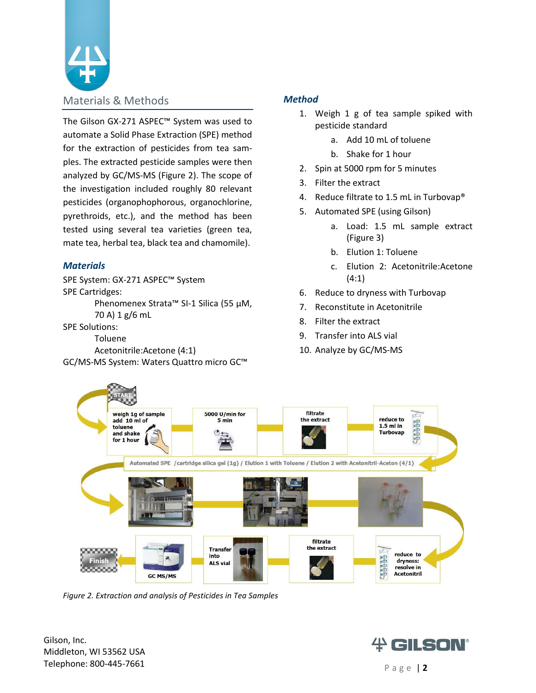

The Gilson GX-271 ASPEC™ System was used to automate a Solid Phase Extraction (SPE) method for the extraction of pesticides from tea samples. The extracted pesticide samples were then analyzed by GC/MS-MS (Figure 2). The scope of the investigation included roughly 80 relevant pesticides (organophophorous, organochlorine, pyrethroids, etc.), and the method has been tested using several tea varieties (green tea, mate tea, herbal tea, black tea and chamomile).

#### *Materials*

SPE System: GX-271 ASPEC™ System SPE Cartridges:

Phenomenex Strata™ SI-1 Silica (55 μM, 70 A) 1 g/6 mL

SPE Solutions:

Toluene

Acetonitrile:Acetone (4:1) GC/MS-MS System: Waters Quattro micro GC™

#### *Method*

- 1. Weigh 1 g of tea sample spiked with pesticide standard
	- a. Add 10 mL of toluene
	- b. Shake for 1 hour
- 2. Spin at 5000 rpm for 5 minutes
- 3. Filter the extract
- 4. Reduce filtrate to 1.5 mL in Turbovap®
- 5. Automated SPE (using Gilson)
	- a. Load: 1.5 mL sample extract (Figure 3)
	- b. Elution 1: Toluene
	- c. Elution 2: Acetonitrile:Acetone (4:1)
- 6. Reduce to dryness with Turbovap
- 7. Reconstitute in Acetonitrile
- 8. Filter the extract
- 9. Transfer into ALS vial
- 10. Analyze by GC/MS-MS



*Figure 2. Extraction and analysis of Pesticides in Tea Samples*

Gilson, Inc. Middleton, WI 53562 USA **Telephone: 800-445-7661** P a g e | 2

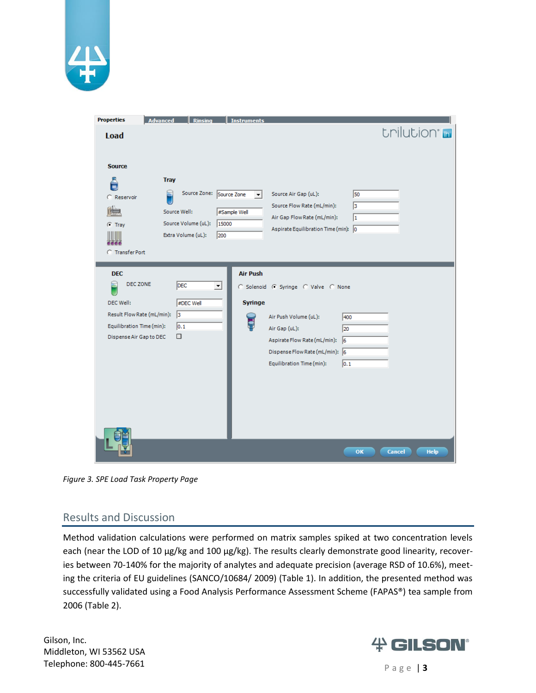

| <b>Properties</b><br><b>Advanced</b>                      | <b>Rinsing</b>                                            | <b>Instruments</b>                                        |                             |
|-----------------------------------------------------------|-----------------------------------------------------------|-----------------------------------------------------------|-----------------------------|
| <b>Load</b>                                               |                                                           |                                                           | trilution <sup>®</sup>      |
|                                                           |                                                           |                                                           |                             |
| <b>Source</b>                                             |                                                           |                                                           |                             |
| <b>Tray</b>                                               |                                                           |                                                           |                             |
| C Reservoir                                               | Source Zone: Source Zone                                  | Source Air Gap (uL):<br>▾╎                                | 50                          |
| <b>Arrive</b>                                             | Source Well:<br>#Sample Well                              | Source Flow Rate (mL/min):<br>Air Gap Flow Rate (mL/min): | $\vert$ <sub>3</sub><br>1   |
| $G$ Tray                                                  | Source Volume (uL):<br>15000<br>Extra Volume (uL):<br>200 | Aspirate Equilibration Time (min): 0                      |                             |
|                                                           |                                                           |                                                           |                             |
| <b>C</b> Transfer Port                                    |                                                           |                                                           |                             |
| <b>DEC</b>                                                |                                                           | <b>Air Push</b>                                           |                             |
| DEC ZONE<br>Ħ                                             | <b>DEC</b><br>$\vert$                                     | C Solenoid C Syringe C Valve C None                       |                             |
| DEC Well:                                                 | #DEC Well                                                 | <b>Syringe</b>                                            |                             |
| Result Flow Rate (mL/min): 3<br>Equilibration Time (min): | $\vert$ 0.1                                               | Air Push Volume (uL):                                     | 400                         |
| Dispense Air Gap to DEC                                   | □                                                         | Air Gap (uL):<br>Aspirate Flow Rate (mL/min): 6           | 20                          |
|                                                           |                                                           | Dispense Flow Rate (mL/min): 6                            |                             |
|                                                           |                                                           | Equilibration Time (min):                                 | 0.1                         |
|                                                           |                                                           |                                                           |                             |
|                                                           |                                                           |                                                           |                             |
|                                                           |                                                           |                                                           |                             |
|                                                           |                                                           |                                                           |                             |
|                                                           |                                                           |                                                           |                             |
|                                                           |                                                           |                                                           | OK<br>Cancel<br><b>Help</b> |

*Figure 3. SPE Load Task Property Page*

#### Results and Discussion

Method validation calculations were performed on matrix samples spiked at two concentration levels each (near the LOD of 10 μg/kg and 100 μg/kg). The results clearly demonstrate good linearity, recoveries between 70-140% for the majority of analytes and adequate precision (average RSD of 10.6%), meeting the criteria of EU guidelines (SANCO/10684/ 2009) (Table 1). In addition, the presented method was successfully validated using a Food Analysis Performance Assessment Scheme (FAPAS®) tea sample from 2006 (Table 2).

Gilson, Inc. Middleton, WI 53562 USA **Telephone: 800-445-7661** P a g e | 3

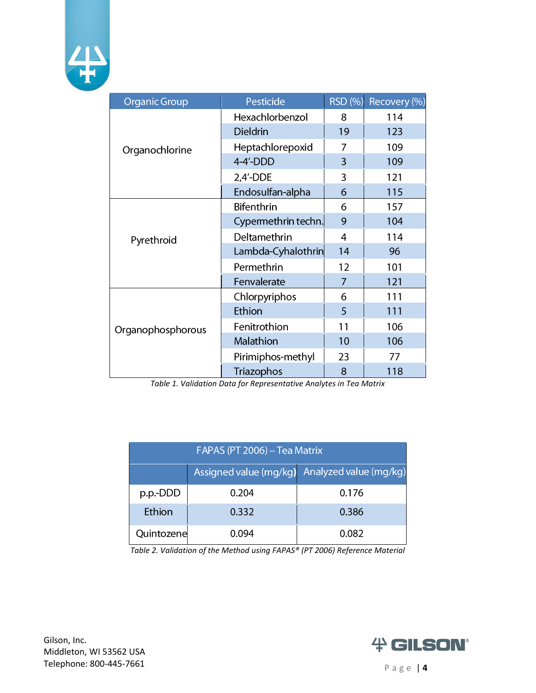

| <b>Organic Group</b> | Pesticide           |                | RSD (%) Recovery (%) |
|----------------------|---------------------|----------------|----------------------|
|                      | Hexachlorbenzol     | 8              | 114                  |
| Organochlorine       | <b>Dieldrin</b>     | 19             | 123                  |
|                      | Heptachlorepoxid    | 7              | 109                  |
|                      | $4-4'$ -DDD         | 3              | 109                  |
|                      | $2,4'$ -DDE         | 3              | 121                  |
|                      | Endosulfan-alpha    | 6              | 115                  |
| Pyrethroid           | <b>Bifenthrin</b>   | 6              | 157                  |
|                      | Cypermethrin techn. | 9              | 104                  |
|                      | Deltamethrin        | $\overline{4}$ | 114                  |
|                      | Lambda-Cyhalothrin  | 14             | 96                   |
|                      | Permethrin          | 12             | 101                  |
|                      | Fenvalerate         | 7              | 121                  |
| Organophosphorous    | Chlorpyriphos       | 6              | 111                  |
|                      | Ethion              | 5              | 111                  |
|                      | Fenitrothion        | 11             | 106                  |
|                      | Malathion           | 10             | 106                  |
|                      | Pirimiphos-methyl   | 23             | 77                   |
|                      | Triazophos          | 8              | 118                  |

*Table 1. Validation Data for Representative Analytes in Tea Matrix*

| FAPAS (PT 2006) – Tea Matrix |       |                                               |  |  |  |
|------------------------------|-------|-----------------------------------------------|--|--|--|
|                              |       | Assigned value (mg/kg) Analyzed value (mg/kg) |  |  |  |
| p.p.-DDD                     | 0.204 | 0.176                                         |  |  |  |
| Ethion                       | 0.332 | 0.386                                         |  |  |  |
| Quintozene                   | በ በ94 | 0.082                                         |  |  |  |

*Table 2. Validation of the Method using FAPAS® (PT 2006) Reference Material*

Gilson, Inc. Middleton, WI 53562 USA **Telephone: 800-445-7661** P a g e | 4